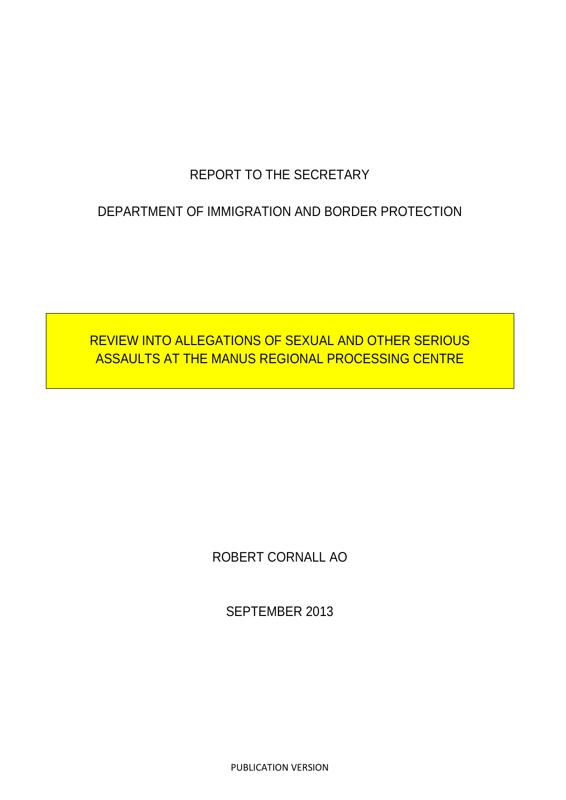# REPORT TO THE SECRETARY

## DEPARTMENT OF IMMIGRATION AND BORDER PROTECTION

# REVIEW INTO ALLEGATIONS OF SEXUAL AND OTHER SERIOUS ASSAULTS AT THE MANUS REGIONAL PROCESSING CENTRE

ROBERT CORNALL AO

SEPTEMBER 2013

PUBLICATION VERSION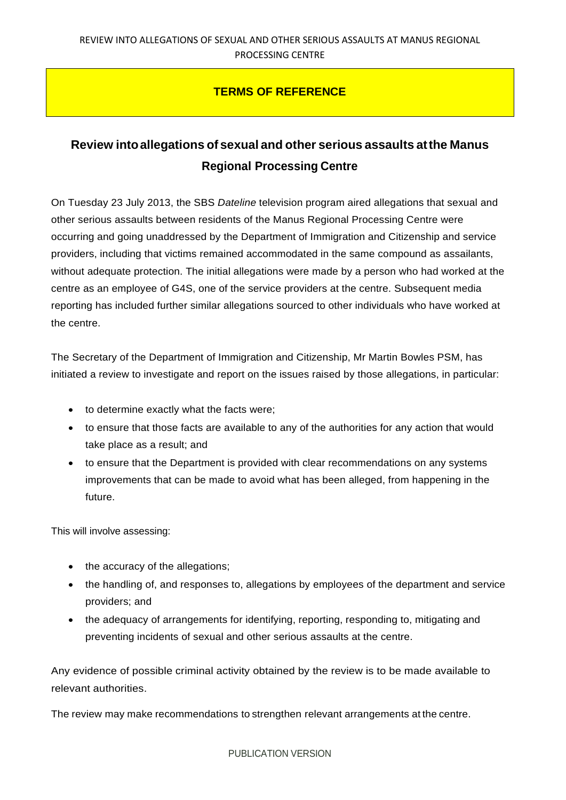## **TERMS OF REFERENCE**

## **Review intoallegations of sexual and other serious assaults atthe Manus Regional Processing Centre**

On Tuesday 23 July 2013, the SBS *Dateline* television program aired allegations that sexual and other serious assaults between residents of the Manus Regional Processing Centre were occurring and going unaddressed by the Department of Immigration and Citizenship and service providers, including that victims remained accommodated in the same compound as assailants, without adequate protection. The initial allegations were made by a person who had worked at the centre as an employee of G4S, one of the service providers at the centre. Subsequent media reporting has included further similar allegations sourced to other individuals who have worked at the centre.

The Secretary of the Department of Immigration and Citizenship, Mr Martin Bowles PSM, has initiated a review to investigate and report on the issues raised by those allegations, in particular:

- to determine exactly what the facts were;
- to ensure that those facts are available to any of the authorities for any action that would take place as a result; and
- to ensure that the Department is provided with clear recommendations on any systems improvements that can be made to avoid what has been alleged, from happening in the future.

This will involve assessing:

- the accuracy of the allegations;
- the handling of, and responses to, allegations by employees of the department and service providers; and
- the adequacy of arrangements for identifying, reporting, responding to, mitigating and preventing incidents of sexual and other serious assaults at the centre.

Any evidence of possible criminal activity obtained by the review is to be made available to relevant authorities.

The review may make recommendations to strengthen relevant arrangements at the centre.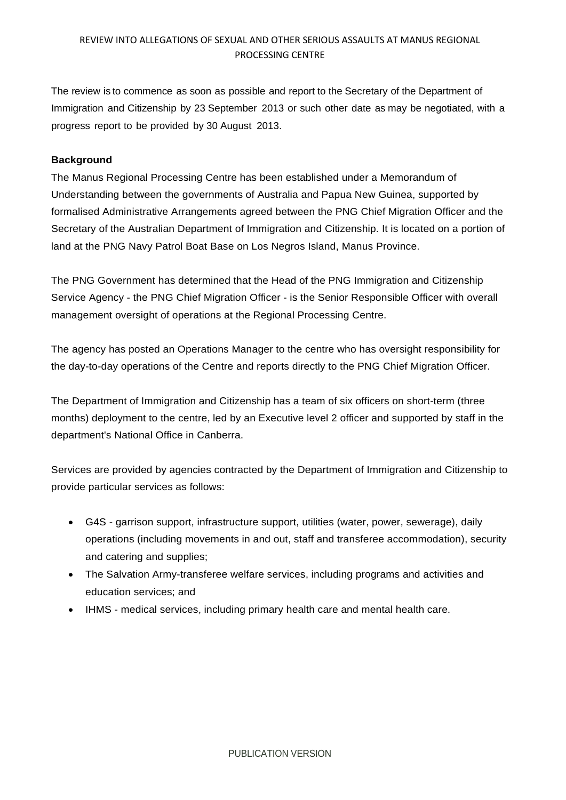The review is to commence as soon as possible and report to the Secretary of the Department of Immigration and Citizenship by 23 September 2013 or such other date as may be negotiated, with a progress report to be provided by 30 August 2013.

#### **Background**

The Manus Regional Processing Centre has been established under a Memorandum of Understanding between the governments of Australia and Papua New Guinea, supported by formalised Administrative Arrangements agreed between the PNG Chief Migration Officer and the Secretary of the Australian Department of Immigration and Citizenship. It is located on a portion of land at the PNG Navy Patrol Boat Base on Los Negros Island, Manus Province.

The PNG Government has determined that the Head of the PNG Immigration and Citizenship Service Agency - the PNG Chief Migration Officer - is the Senior Responsible Officer with overall management oversight of operations at the Regional Processing Centre.

The agency has posted an Operations Manager to the centre who has oversight responsibility for the day-to-day operations of the Centre and reports directly to the PNG Chief Migration Officer.

The Department of Immigration and Citizenship has a team of six officers on short-term (three months) deployment to the centre, led by an Executive level 2 officer and supported by staff in the department's National Office in Canberra.

Services are provided by agencies contracted by the Department of Immigration and Citizenship to provide particular services as follows:

- G4S garrison support, infrastructure support, utilities (water, power, sewerage), daily operations (including movements in and out, staff and transferee accommodation), security and catering and supplies;
- The Salvation Army-transferee welfare services, including programs and activities and education services; and
- IHMS medical services, including primary health care and mental health care.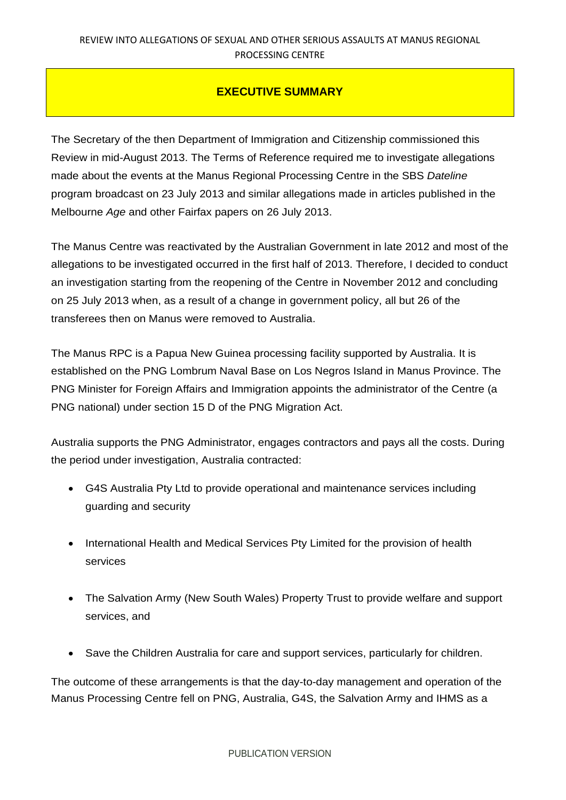### **EXECUTIVE SUMMARY**

The Secretary of the then Department of Immigration and Citizenship commissioned this Review in mid-August 2013. The Terms of Reference required me to investigate allegations made about the events at the Manus Regional Processing Centre in the SBS *Dateline* program broadcast on 23 July 2013 and similar allegations made in articles published in the Melbourne *Age* and other Fairfax papers on 26 July 2013.

The Manus Centre was reactivated by the Australian Government in late 2012 and most of the allegations to be investigated occurred in the first half of 2013. Therefore, I decided to conduct an investigation starting from the reopening of the Centre in November 2012 and concluding on 25 July 2013 when, as a result of a change in government policy, all but 26 of the transferees then on Manus were removed to Australia.

The Manus RPC is a Papua New Guinea processing facility supported by Australia. It is established on the PNG Lombrum Naval Base on Los Negros Island in Manus Province. The PNG Minister for Foreign Affairs and Immigration appoints the administrator of the Centre (a PNG national) under section 15 D of the PNG Migration Act.

Australia supports the PNG Administrator, engages contractors and pays all the costs. During the period under investigation, Australia contracted:

- G4S Australia Pty Ltd to provide operational and maintenance services including guarding and security
- International Health and Medical Services Pty Limited for the provision of health services
- The Salvation Army (New South Wales) Property Trust to provide welfare and support services, and
- Save the Children Australia for care and support services, particularly for children.

The outcome of these arrangements is that the day-to-day management and operation of the Manus Processing Centre fell on PNG, Australia, G4S, the Salvation Army and IHMS as a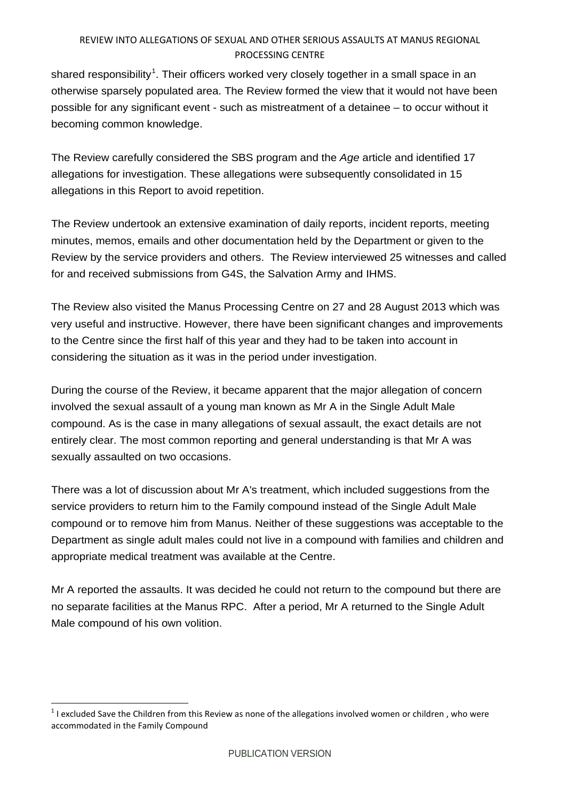shared responsibility<sup>[1](#page-4-0)</sup>. Their officers worked very closely together in a small space in an otherwise sparsely populated area. The Review formed the view that it would not have been possible for any significant event - such as mistreatment of a detainee – to occur without it becoming common knowledge.

The Review carefully considered the SBS program and the *Age* article and identified 17 allegations for investigation. These allegations were subsequently consolidated in 15 allegations in this Report to avoid repetition.

The Review undertook an extensive examination of daily reports, incident reports, meeting minutes, memos, emails and other documentation held by the Department or given to the Review by the service providers and others. The Review interviewed 25 witnesses and called for and received submissions from G4S, the Salvation Army and IHMS.

The Review also visited the Manus Processing Centre on 27 and 28 August 2013 which was very useful and instructive. However, there have been significant changes and improvements to the Centre since the first half of this year and they had to be taken into account in considering the situation as it was in the period under investigation.

During the course of the Review, it became apparent that the major allegation of concern involved the sexual assault of a young man known as Mr A in the Single Adult Male compound. As is the case in many allegations of sexual assault, the exact details are not entirely clear. The most common reporting and general understanding is that Mr A was sexually assaulted on two occasions.

There was a lot of discussion about Mr A's treatment, which included suggestions from the service providers to return him to the Family compound instead of the Single Adult Male compound or to remove him from Manus. Neither of these suggestions was acceptable to the Department as single adult males could not live in a compound with families and children and appropriate medical treatment was available at the Centre.

Mr A reported the assaults. It was decided he could not return to the compound but there are no separate facilities at the Manus RPC. After a period, Mr A returned to the Single Adult Male compound of his own volition.

<span id="page-4-0"></span> $1$  I excluded Save the Children from this Review as none of the allegations involved women or children, who were accommodated in the Family Compound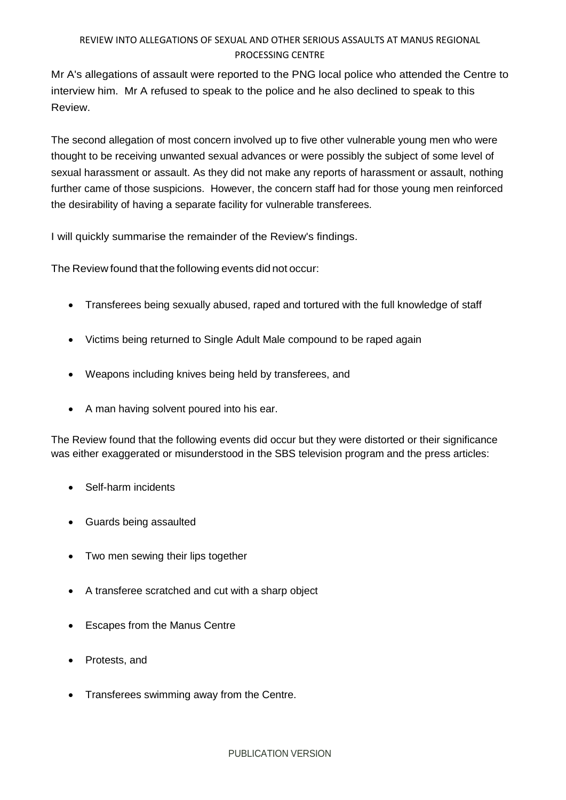Mr A's allegations of assault were reported to the PNG local police who attended the Centre to interview him. Mr A refused to speak to the police and he also declined to speak to this Review.

The second allegation of most concern involved up to five other vulnerable young men who were thought to be receiving unwanted sexual advances or were possibly the subject of some level of sexual harassment or assault. As they did not make any reports of harassment or assault, nothing further came of those suspicions. However, the concern staff had for those young men reinforced the desirability of having a separate facility for vulnerable transferees.

I will quickly summarise the remainder of the Review's findings.

The Review found that the following events did not occur:

- Transferees being sexually abused, raped and tortured with the full knowledge of staff
- Victims being returned to Single Adult Male compound to be raped again
- Weapons including knives being held by transferees, and
- A man having solvent poured into his ear.

The Review found that the following events did occur but they were distorted or their significance was either exaggerated or misunderstood in the SBS television program and the press articles:

- Self-harm incidents
- Guards being assaulted
- Two men sewing their lips together
- A transferee scratched and cut with a sharp object
- Escapes from the Manus Centre
- Protests, and
- Transferees swimming away from the Centre.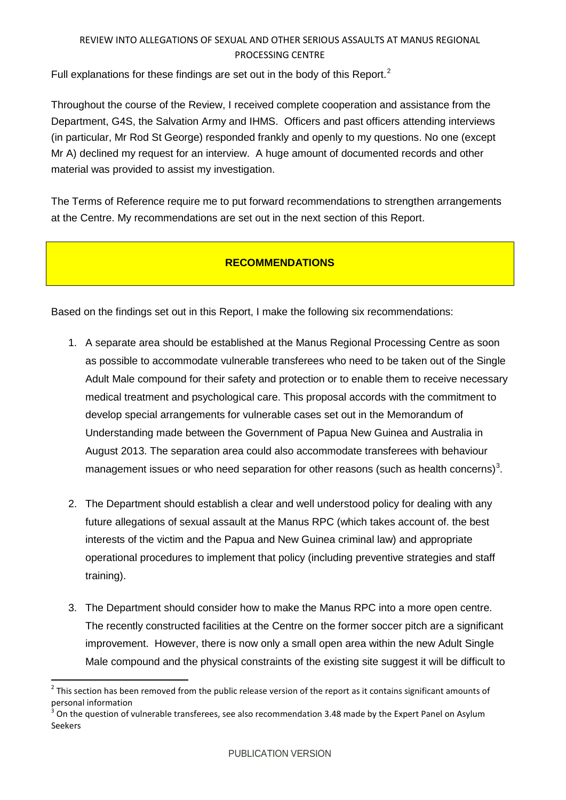Full explanations for these findings are set out in the body of this Report.<sup>[2](#page-6-0)</sup>

Throughout the course of the Review, I received complete cooperation and assistance from the Department, G4S, the Salvation Army and IHMS. Officers and past officers attending interviews (in particular, Mr Rod St George) responded frankly and openly to my questions. No one (except Mr A) declined my request for an interview. A huge amount of documented records and other material was provided to assist my investigation.

The Terms of Reference require me to put forward recommendations to strengthen arrangements at the Centre. My recommendations are set out in the next section of this Report.

## **RECOMMENDATIONS**

Based on the findings set out in this Report, I make the following six recommendations:

- 1. A separate area should be established at the Manus Regional Processing Centre as soon as possible to accommodate vulnerable transferees who need to be taken out of the Single Adult Male compound for their safety and protection or to enable them to receive necessary medical treatment and psychological care. This proposal accords with the commitment to develop special arrangements for vulnerable cases set out in the Memorandum of Understanding made between the Government of Papua New Guinea and Australia in August 2013. The separation area could also accommodate transferees with behaviour management issues or who need separation for other reasons (such as health concerns)<sup>[3](#page-6-1)</sup>.
- 2. The Department should establish a clear and well understood policy for dealing with any future allegations of sexual assault at the Manus RPC (which takes account of. the best interests of the victim and the Papua and New Guinea criminal law) and appropriate operational procedures to implement that policy (including preventive strategies and staff training).
- 3. The Department should consider how to make the Manus RPC into a more open centre. The recently constructed facilities at the Centre on the former soccer pitch are a significant improvement. However, there is now only a small open area within the new Adult Single Male compound and the physical constraints of the existing site suggest it will be difficult to

<span id="page-6-0"></span> $2$  This section has been removed from the public release version of the report as it contains significant amounts of personal information

<span id="page-6-1"></span><sup>3</sup> On the question of vulnerable transferees, see also recommendation 3.48 made by the Expert Panel on Asylum Seekers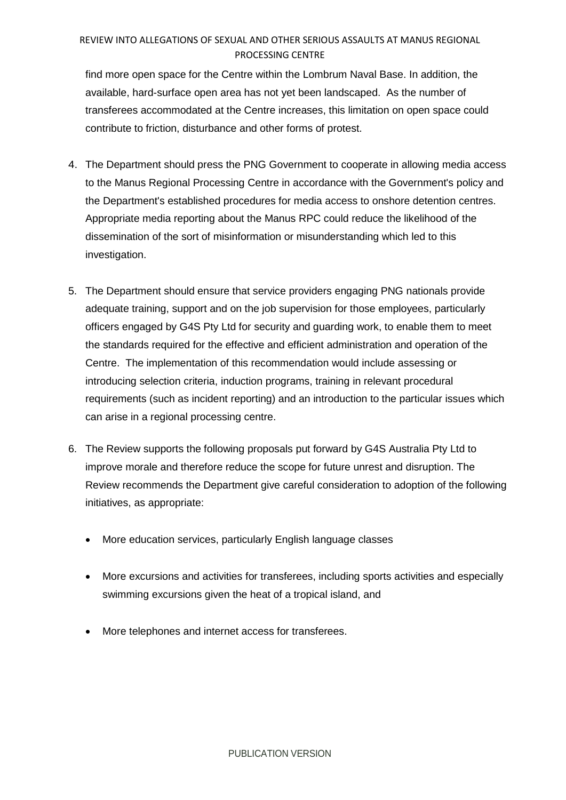find more open space for the Centre within the Lombrum Naval Base. In addition, the available, hard-surface open area has not yet been landscaped. As the number of transferees accommodated at the Centre increases, this limitation on open space could contribute to friction, disturbance and other forms of protest.

- 4. The Department should press the PNG Government to cooperate in allowing media access to the Manus Regional Processing Centre in accordance with the Government's policy and the Department's established procedures for media access to onshore detention centres. Appropriate media reporting about the Manus RPC could reduce the likelihood of the dissemination of the sort of misinformation or misunderstanding which led to this investigation.
- 5. The Department should ensure that service providers engaging PNG nationals provide adequate training, support and on the job supervision for those employees, particularly officers engaged by G4S Pty Ltd for security and guarding work, to enable them to meet the standards required for the effective and efficient administration and operation of the Centre. The implementation of this recommendation would include assessing or introducing selection criteria, induction programs, training in relevant procedural requirements (such as incident reporting) and an introduction to the particular issues which can arise in a regional processing centre.
- 6. The Review supports the following proposals put forward by G4S Australia Pty Ltd to improve morale and therefore reduce the scope for future unrest and disruption. The Review recommends the Department give careful consideration to adoption of the following initiatives, as appropriate:
	- More education services, particularly English language classes
	- More excursions and activities for transferees, including sports activities and especially swimming excursions given the heat of a tropical island, and
	- More telephones and internet access for transferees.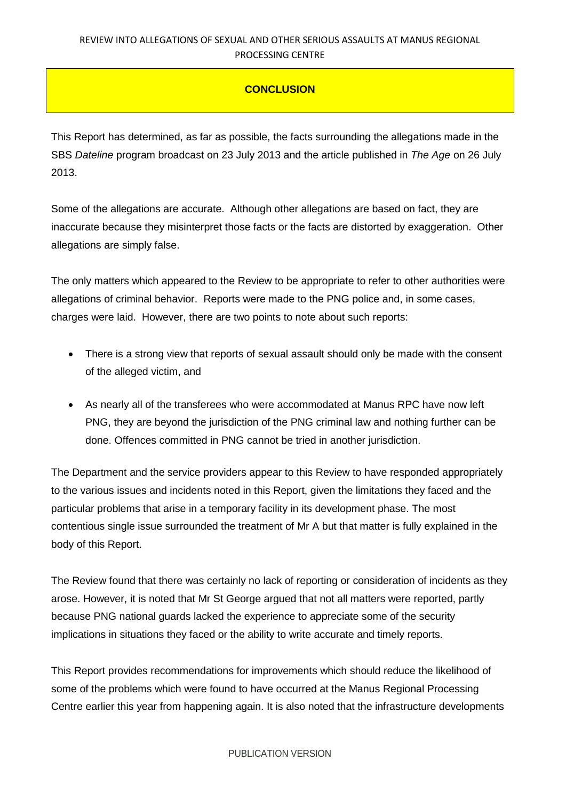### **CONCLUSION**

This Report has determined, as far as possible, the facts surrounding the allegations made in the SBS *Dateline* program broadcast on 23 July 2013 and the article published in *The Age* on 26 July 2013.

Some of the allegations are accurate. Although other allegations are based on fact, they are inaccurate because they misinterpret those facts or the facts are distorted by exaggeration. Other allegations are simply false.

The only matters which appeared to the Review to be appropriate to refer to other authorities were allegations of criminal behavior. Reports were made to the PNG police and, in some cases, charges were laid. However, there are two points to note about such reports:

- There is a strong view that reports of sexual assault should only be made with the consent of the alleged victim, and
- As nearly all of the transferees who were accommodated at Manus RPC have now left PNG, they are beyond the jurisdiction of the PNG criminal law and nothing further can be done. Offences committed in PNG cannot be tried in another jurisdiction.

The Department and the service providers appear to this Review to have responded appropriately to the various issues and incidents noted in this Report, given the limitations they faced and the particular problems that arise in a temporary facility in its development phase. The most contentious single issue surrounded the treatment of Mr A but that matter is fully explained in the body of this Report.

The Review found that there was certainly no lack of reporting or consideration of incidents as they arose. However, it is noted that Mr St George argued that not all matters were reported, partly because PNG national guards lacked the experience to appreciate some of the security implications in situations they faced or the ability to write accurate and timely reports.

This Report provides recommendations for improvements which should reduce the likelihood of some of the problems which were found to have occurred at the Manus Regional Processing Centre earlier this year from happening again. It is also noted that the infrastructure developments

#### PUBLICATION VERSION